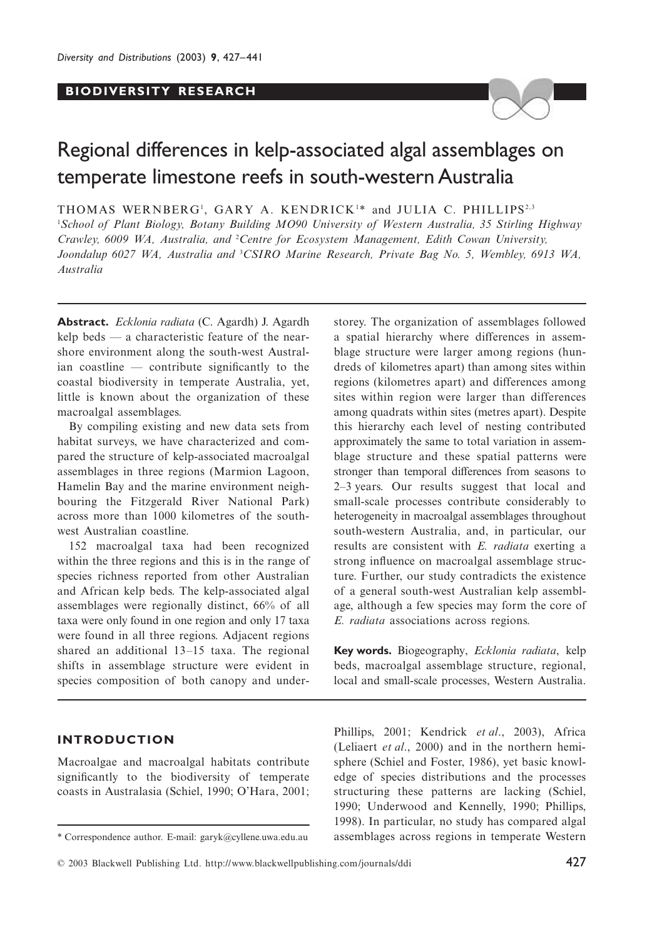# **BIODIVERSITY RESEARCH**



# Regional differences in kelp-associated algal assemblages on temperate limestone reefs in south-western Australia

THOMAS WERNBERG<sup>1</sup>, GARY A. KENDRICK<sup>1\*</sup> and JULIA C. PHILLIPS<sup>2,3</sup>

1 *School of Plant Biology, Botany Building MO90 University of Western Australia, 35 Stirling Highway*  Crawley, 6009 WA, Australia, and <sup>2</sup>Centre for Ecosystem Management, Edith Cowan University, *Joondalup 6027 WA, Australia and* <sup>3</sup> *CSIRO Marine Research, Private Bag No. 5, Wembley, 6913 WA, Australia*

**Abstract.** *Ecklonia radiata* (C. Agardh) J. Agardh kelp beds — a characteristic feature of the nearshore environment along the south-west Australian coastline — contribute significantly to the coastal biodiversity in temperate Australia, yet, little is known about the organization of these macroalgal assemblages.

By compiling existing and new data sets from habitat surveys, we have characterized and compared the structure of kelp-associated macroalgal assemblages in three regions (Marmion Lagoon, Hamelin Bay and the marine environment neighbouring the Fitzgerald River National Park) across more than 1000 kilometres of the southwest Australian coastline.

152 macroalgal taxa had been recognized within the three regions and this is in the range of species richness reported from other Australian and African kelp beds. The kelp-associated algal assemblages were regionally distinct, 66% of all taxa were only found in one region and only 17 taxa were found in all three regions. Adjacent regions shared an additional 13–15 taxa. The regional shifts in assemblage structure were evident in species composition of both canopy and under-

# **INTRODUCTION**

Macroalgae and macroalgal habitats contribute significantly to the biodiversity of temperate coasts in Australasia (Schiel, 1990; O'Hara, 2001; storey. The organization of assemblages followed a spatial hierarchy where differences in assemblage structure were larger among regions (hundreds of kilometres apart) than among sites within regions (kilometres apart) and differences among sites within region were larger than differences among quadrats within sites (metres apart). Despite this hierarchy each level of nesting contributed approximately the same to total variation in assemblage structure and these spatial patterns were stronger than temporal differences from seasons to 2–3 years. Our results suggest that local and small-scale processes contribute considerably to heterogeneity in macroalgal assemblages throughout south-western Australia, and, in particular, our results are consistent with *E. radiata* exerting a strong influence on macroalgal assemblage structure. Further, our study contradicts the existence of a general south-west Australian kelp assemblage, although a few species may form the core of *E. radiata* associations across regions.

**Key words.** Biogeography, *Ecklonia radiata*, kelp beds, macroalgal assemblage structure, regional, local and small-scale processes, Western Australia.

Phillips, 2001; Kendrick *et al*., 2003), Africa (Leliaert *et al*., 2000) and in the northern hemisphere (Schiel and Foster, 1986), yet basic knowledge of species distributions and the processes structuring these patterns are lacking (Schiel, 1990; Underwood and Kennelly, 1990; Phillips, 1998). In particular, no study has compared algal \* Correspondence author. E-mail: garyk@cyllene.uwa.edu.au assemblages across regions in temperate Western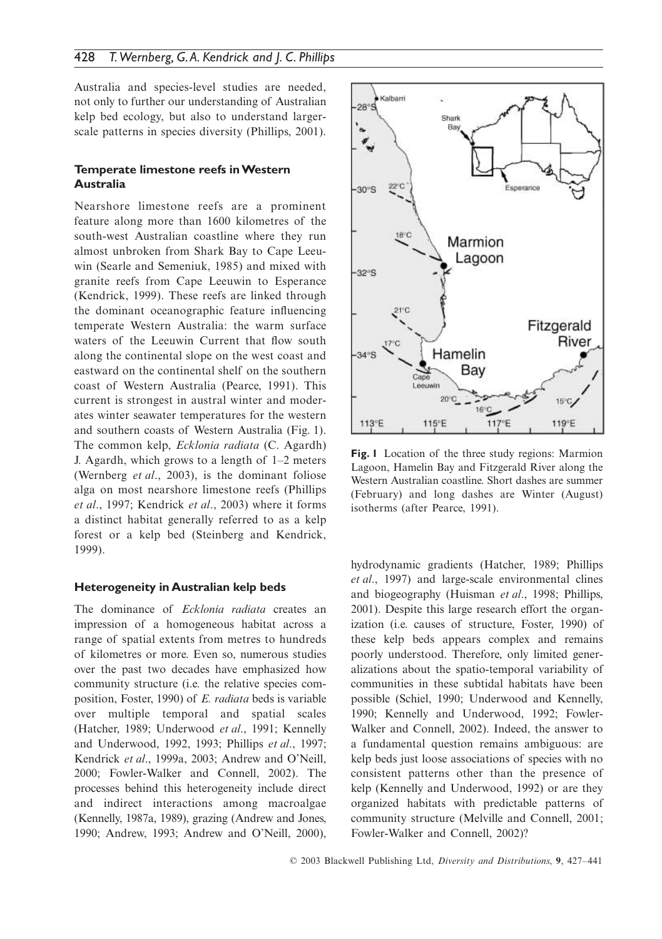Australia and species-level studies are needed, not only to further our understanding of Australian kelp bed ecology, but also to understand largerscale patterns in species diversity (Phillips, 2001).

# **Temperate limestone reefs in Western Australia**

Nearshore limestone reefs are a prominent feature along more than 1600 kilometres of the south-west Australian coastline where they run almost unbroken from Shark Bay to Cape Leeuwin (Searle and Semeniuk, 1985) and mixed with granite reefs from Cape Leeuwin to Esperance (Kendrick, 1999). These reefs are linked through the dominant oceanographic feature influencing temperate Western Australia: the warm surface waters of the Leeuwin Current that flow south along the continental slope on the west coast and eastward on the continental shelf on the southern coast of Western Australia (Pearce, 1991). This current is strongest in austral winter and moderates winter seawater temperatures for the western and southern coasts of Western Australia (Fig. 1). The common kelp, *Ecklonia radiata* (C. Agardh) J. Agardh, which grows to a length of 1–2 meters (Wernberg *et al*., 2003), is the dominant foliose alga on most nearshore limestone reefs (Phillips *et al*., 1997; Kendrick *et al*., 2003) where it forms a distinct habitat generally referred to as a kelp forest or a kelp bed (Steinberg and Kendrick, 1999).

#### **Heterogeneity in Australian kelp beds**

The dominance of *Ecklonia radiata* creates an impression of a homogeneous habitat across a range of spatial extents from metres to hundreds of kilometres or more. Even so, numerous studies over the past two decades have emphasized how community structure (i.e. the relative species composition, Foster, 1990) of *E. radiata* beds is variable over multiple temporal and spatial scales (Hatcher, 1989; Underwood *et al*., 1991; Kennelly and Underwood, 1992, 1993; Phillips *et al*., 1997; Kendrick *et al*., 1999a, 2003; Andrew and O'Neill, 2000; Fowler-Walker and Connell, 2002). The processes behind this heterogeneity include direct and indirect interactions among macroalgae (Kennelly, 1987a, 1989), grazing (Andrew and Jones, 1990; Andrew, 1993; Andrew and O'Neill, 2000),



**Fig. 1** Location of the three study regions: Marmion Lagoon, Hamelin Bay and Fitzgerald River along the Western Australian coastline. Short dashes are summer (February) and long dashes are Winter (August) isotherms (after Pearce, 1991).

hydrodynamic gradients (Hatcher, 1989; Phillips *et al*., 1997) and large-scale environmental clines and biogeography (Huisman *et al*., 1998; Phillips, 2001). Despite this large research effort the organization (i.e. causes of structure, Foster, 1990) of these kelp beds appears complex and remains poorly understood. Therefore, only limited generalizations about the spatio-temporal variability of communities in these subtidal habitats have been possible (Schiel, 1990; Underwood and Kennelly, 1990; Kennelly and Underwood, 1992; Fowler-Walker and Connell, 2002). Indeed, the answer to a fundamental question remains ambiguous: are kelp beds just loose associations of species with no consistent patterns other than the presence of kelp (Kennelly and Underwood, 1992) or are they organized habitats with predictable patterns of community structure (Melville and Connell, 2001; Fowler-Walker and Connell, 2002)?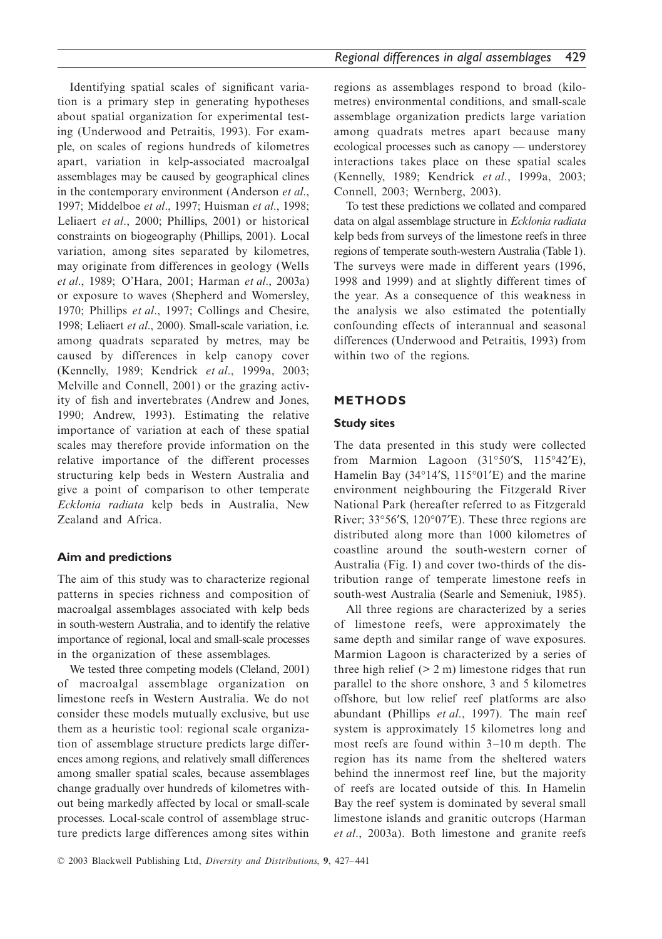Identifying spatial scales of significant variation is a primary step in generating hypotheses about spatial organization for experimental testing (Underwood and Petraitis, 1993). For example, on scales of regions hundreds of kilometres apart, variation in kelp-associated macroalgal assemblages may be caused by geographical clines in the contemporary environment (Anderson *et al*., 1997; Middelboe *et al*., 1997; Huisman *et al*., 1998; Leliaert *et al*., 2000; Phillips, 2001) or historical constraints on biogeography (Phillips, 2001). Local variation, among sites separated by kilometres, may originate from differences in geology (Wells *et al*., 1989; O'Hara, 2001; Harman *et al*., 2003a) or exposure to waves (Shepherd and Womersley, 1970; Phillips *et al*., 1997; Collings and Chesire, 1998; Leliaert *et al*., 2000). Small-scale variation, i.e. among quadrats separated by metres, may be caused by differences in kelp canopy cover (Kennelly, 1989; Kendrick *et al*., 1999a, 2003; Melville and Connell, 2001) or the grazing activity of fish and invertebrates (Andrew and Jones, 1990; Andrew, 1993). Estimating the relative importance of variation at each of these spatial scales may therefore provide information on the relative importance of the different processes structuring kelp beds in Western Australia and give a point of comparison to other temperate *Ecklonia radiata* kelp beds in Australia, New Zealand and Africa.

# **Aim and predictions**

The aim of this study was to characterize regional patterns in species richness and composition of macroalgal assemblages associated with kelp beds in south-western Australia, and to identify the relative importance of regional, local and small-scale processes in the organization of these assemblages.

We tested three competing models (Cleland, 2001) of macroalgal assemblage organization on limestone reefs in Western Australia. We do not consider these models mutually exclusive, but use them as a heuristic tool: regional scale organization of assemblage structure predicts large differences among regions, and relatively small differences among smaller spatial scales, because assemblages change gradually over hundreds of kilometres without being markedly affected by local or small-scale processes. Local-scale control of assemblage structure predicts large differences among sites within

regions as assemblages respond to broad (kilometres) environmental conditions, and small-scale assemblage organization predicts large variation among quadrats metres apart because many ecological processes such as canopy — understorey interactions takes place on these spatial scales (Kennelly, 1989; Kendrick *et al*., 1999a, 2003; Connell, 2003; Wernberg, 2003).

To test these predictions we collated and compared data on algal assemblage structure in *Ecklonia radiata* kelp beds from surveys of the limestone reefs in three regions of temperate south-western Australia (Table 1). The surveys were made in different years (1996, 1998 and 1999) and at slightly different times of the year. As a consequence of this weakness in the analysis we also estimated the potentially confounding effects of interannual and seasonal differences (Underwood and Petraitis, 1993) from within two of the regions.

# **METHODS**

## **Study sites**

The data presented in this study were collected from Marmion Lagoon (31°50′S, 115°42′E), Hamelin Bay (34°14′S, 115°01′E) and the marine environment neighbouring the Fitzgerald River National Park (hereafter referred to as Fitzgerald River; 33°56′S, 120°07′E). These three regions are distributed along more than 1000 kilometres of coastline around the south-western corner of Australia (Fig. 1) and cover two-thirds of the distribution range of temperate limestone reefs in south-west Australia (Searle and Semeniuk, 1985).

All three regions are characterized by a series of limestone reefs, were approximately the same depth and similar range of wave exposures. Marmion Lagoon is characterized by a series of three high relief  $(2 \text{ m})$  limestone ridges that run parallel to the shore onshore, 3 and 5 kilometres offshore, but low relief reef platforms are also abundant (Phillips *et al*., 1997). The main reef system is approximately 15 kilometres long and most reefs are found within 3–10 m depth. The region has its name from the sheltered waters behind the innermost reef line, but the majority of reefs are located outside of this. In Hamelin Bay the reef system is dominated by several small limestone islands and granitic outcrops (Harman *et al*., 2003a). Both limestone and granite reefs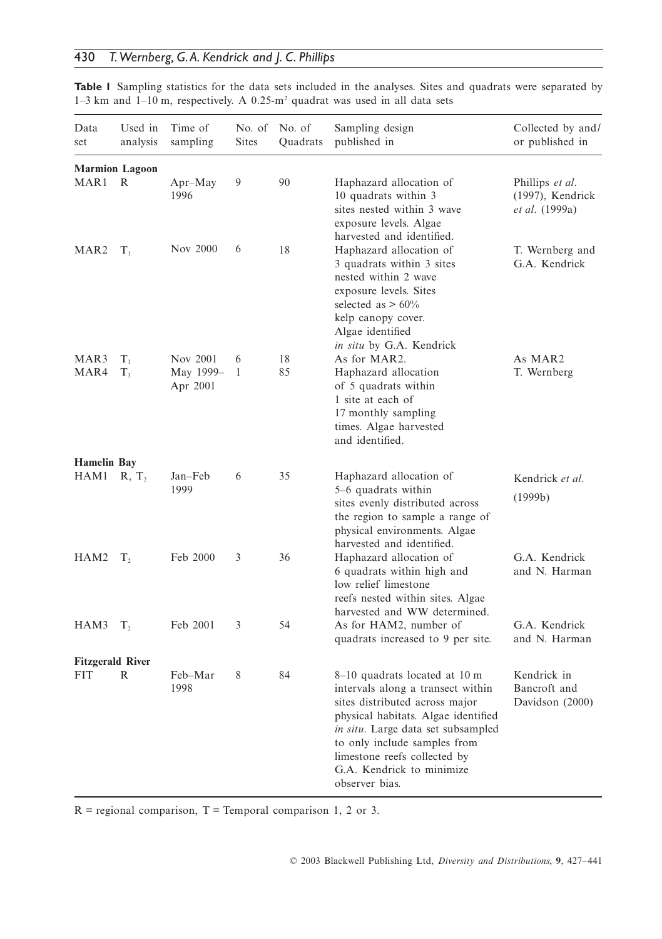| Data<br>set             | Used in<br>analysis    | Time of<br>sampling               | No. of<br><b>Sites</b> | No. of<br>Quadrats | Sampling design<br>published in                                                                                                                                                                                                                                                                  | Collected by and/<br>or published in                  |
|-------------------------|------------------------|-----------------------------------|------------------------|--------------------|--------------------------------------------------------------------------------------------------------------------------------------------------------------------------------------------------------------------------------------------------------------------------------------------------|-------------------------------------------------------|
|                         | <b>Marmion Lagoon</b>  |                                   |                        |                    |                                                                                                                                                                                                                                                                                                  |                                                       |
| MAR1                    | R                      | $Apr-May$<br>1996                 | 9                      | 90                 | Haphazard allocation of<br>10 quadrats within 3<br>sites nested within 3 wave<br>exposure levels. Algae<br>harvested and identified.                                                                                                                                                             | Phillips et al.<br>(1997), Kendrick<br>et al. (1999a) |
| MAR <sub>2</sub>        | $T_{1}$                | Nov 2000                          | 6                      | 18                 | Haphazard allocation of<br>3 quadrats within 3 sites<br>nested within 2 wave<br>exposure levels. Sites<br>selected as $> 60\%$<br>kelp canopy cover.<br>Algae identified<br>in situ by G.A. Kendrick                                                                                             | T. Wernberg and<br>G.A. Kendrick                      |
| MAR3<br>MAR4            | $T_{\perp}$<br>$T_{3}$ | Nov 2001<br>May 1999-<br>Apr 2001 | 6<br>1                 | 18<br>85           | As for MAR2.<br>Haphazard allocation<br>of 5 quadrats within<br>1 site at each of<br>17 monthly sampling<br>times. Algae harvested<br>and identified.                                                                                                                                            | As MAR2<br>T. Wernberg                                |
| <b>Hamelin Bay</b>      |                        |                                   |                        |                    |                                                                                                                                                                                                                                                                                                  |                                                       |
| HAM1                    | R, T <sub>2</sub>      | Jan-Feb<br>1999                   | 6                      | 35                 | Haphazard allocation of<br>5–6 quadrats within<br>sites evenly distributed across<br>the region to sample a range of<br>physical environments. Algae<br>harvested and identified.                                                                                                                | Kendrick et al.<br>(1999b)                            |
| HAM2                    | T <sub>2</sub>         | Feb 2000                          | 3                      | 36                 | Haphazard allocation of<br>6 quadrats within high and<br>low relief limestone<br>reefs nested within sites. Algae<br>harvested and WW determined.                                                                                                                                                | G.A. Kendrick<br>and N. Harman                        |
| HAM3                    | $T_{2}$                | Feb 2001                          | 3                      | 54                 | As for HAM2, number of<br>quadrats increased to 9 per site.                                                                                                                                                                                                                                      | G.A. Kendrick<br>and N. Harman                        |
| <b>Fitzgerald River</b> |                        |                                   |                        |                    |                                                                                                                                                                                                                                                                                                  |                                                       |
| FIT                     | R                      | Feb-Mar<br>1998                   | 8                      | 84                 | 8–10 quadrats located at 10 m<br>intervals along a transect within<br>sites distributed across major<br>physical habitats. Algae identified<br>in situ. Large data set subsampled<br>to only include samples from<br>limestone reefs collected by<br>G.A. Kendrick to minimize<br>observer bias. | Kendrick in<br>Bancroft and<br>Davidson (2000)        |

**Table 1** Sampling statistics for the data sets included in the analyses. Sites and quadrats were separated by 1–3 km and 1–10 m, respectively. A 0.25-m2 quadrat was used in all data sets

 $R =$  regional comparison,  $T =$  Temporal comparison 1, 2 or 3.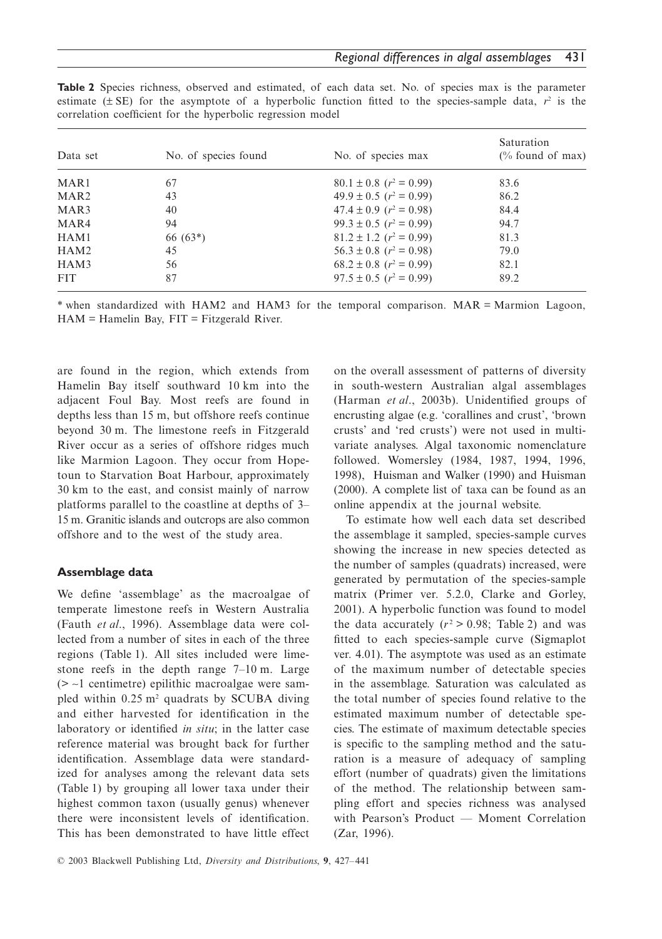| Data set         | No. of species found | No. of species max              | Saturation<br>$\frac{1}{2}$ found of max) |
|------------------|----------------------|---------------------------------|-------------------------------------------|
| MAR <sub>1</sub> | 67                   | $80.1 \pm 0.8$ ( $r^2 = 0.99$ ) | 83.6                                      |
| MAR <sub>2</sub> | 43                   | $49.9 \pm 0.5$ ( $r^2 = 0.99$ ) | 86.2                                      |
| MAR3             | 40                   | $47.4 \pm 0.9$ ( $r^2 = 0.98$ ) | 84.4                                      |
| MAR4             | 94                   | $99.3 \pm 0.5$ ( $r^2 = 0.99$ ) | 94.7                                      |
| HAM1             | $66(63*)$            | $81.2 \pm 1.2$ ( $r^2 = 0.99$ ) | 81.3                                      |
| HAM2             | 45                   | $56.3 \pm 0.8$ ( $r^2 = 0.98$ ) | 79.0                                      |
| HAM3             | 56                   | $68.2 \pm 0.8$ ( $r^2 = 0.99$ ) | 82.1                                      |
| <b>FIT</b>       | 87                   | $97.5 \pm 0.5$ ( $r^2 = 0.99$ ) | 89.2                                      |

**Table 2** Species richness, observed and estimated, of each data set. No. of species max is the parameter estimate ( $\pm$  SE) for the asymptote of a hyperbolic function fitted to the species-sample data,  $r^2$  is the correlation coefficient for the hyperbolic regression model

\* when standardized with HAM2 and HAM3 for the temporal comparison. MAR = Marmion Lagoon,  $HAM = Hamelin$  Bay,  $FIT = Fitzgerald$  River.

are found in the region, which extends from Hamelin Bay itself southward 10 km into the adjacent Foul Bay. Most reefs are found in depths less than 15 m, but offshore reefs continue beyond 30 m. The limestone reefs in Fitzgerald River occur as a series of offshore ridges much like Marmion Lagoon. They occur from Hopetoun to Starvation Boat Harbour, approximately 30 km to the east, and consist mainly of narrow platforms parallel to the coastline at depths of 3– 15 m. Granitic islands and outcrops are also common offshore and to the west of the study area.

## **Assemblage data**

We define 'assemblage' as the macroalgae of temperate limestone reefs in Western Australia (Fauth *et al*., 1996). Assemblage data were collected from a number of sites in each of the three regions (Table 1). All sites included were limestone reefs in the depth range 7–10 m. Large (> ∼1 centimetre) epilithic macroalgae were sampled within 0.25 m<sup>2</sup> quadrats by SCUBA diving and either harvested for identification in the laboratory or identified *in situ*; in the latter case reference material was brought back for further identification. Assemblage data were standardized for analyses among the relevant data sets (Table 1) by grouping all lower taxa under their highest common taxon (usually genus) whenever there were inconsistent levels of identification. This has been demonstrated to have little effect

on the overall assessment of patterns of diversity in south-western Australian algal assemblages (Harman *et al*., 2003b). Unidentified groups of encrusting algae (e.g. 'corallines and crust', 'brown crusts' and 'red crusts') were not used in multivariate analyses. Algal taxonomic nomenclature followed. Womersley (1984, 1987, 1994, 1996, 1998), Huisman and Walker (1990) and Huisman (2000). A complete list of taxa can be found as an online appendix at the journal website.

To estimate how well each data set described the assemblage it sampled, species-sample curves showing the increase in new species detected as the number of samples (quadrats) increased, were generated by permutation of the species-sample matrix (Primer ver. 5.2.0, Clarke and Gorley, 2001). A hyperbolic function was found to model the data accurately  $(r^2 > 0.98;$  Table 2) and was fitted to each species-sample curve (Sigmaplot ver. 4.01). The asymptote was used as an estimate of the maximum number of detectable species in the assemblage. Saturation was calculated as the total number of species found relative to the estimated maximum number of detectable species. The estimate of maximum detectable species is specific to the sampling method and the saturation is a measure of adequacy of sampling effort (number of quadrats) given the limitations of the method. The relationship between sampling effort and species richness was analysed with Pearson's Product — Moment Correlation (Zar, 1996).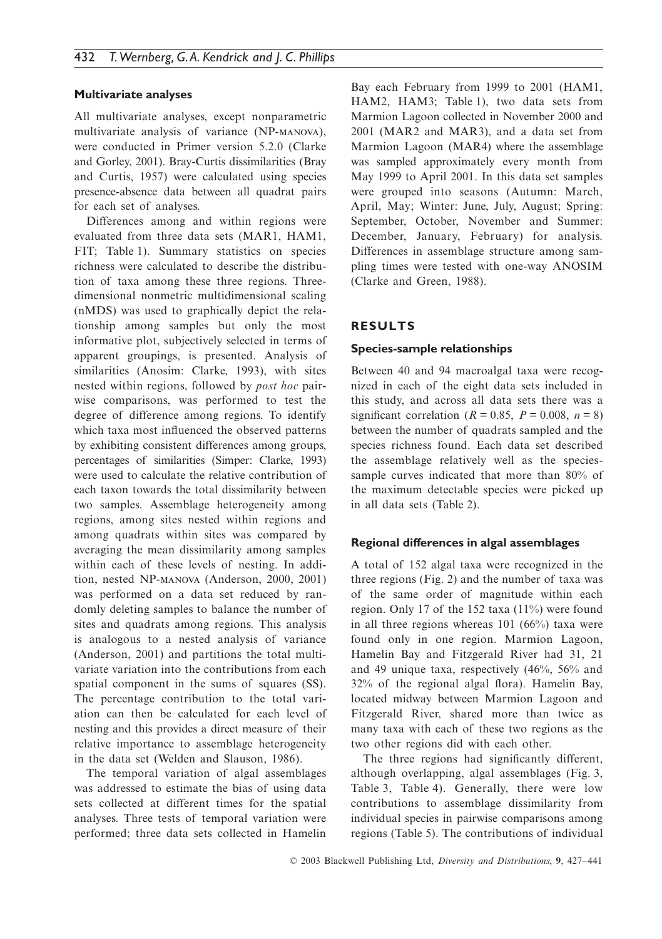### **Multivariate analyses**

All multivariate analyses, except nonparametric multivariate analysis of variance (NP-MANOVA), were conducted in Primer version 5.2.0 (Clarke and Gorley, 2001). Bray-Curtis dissimilarities (Bray and Curtis, 1957) were calculated using species presence-absence data between all quadrat pairs for each set of analyses.

Differences among and within regions were evaluated from three data sets (MAR1, HAM1, FIT; Table 1). Summary statistics on species richness were calculated to describe the distribution of taxa among these three regions. Threedimensional nonmetric multidimensional scaling (nMDS) was used to graphically depict the relationship among samples but only the most informative plot, subjectively selected in terms of apparent groupings, is presented. Analysis of similarities (Anosim: Clarke, 1993), with sites nested within regions, followed by *post hoc* pairwise comparisons, was performed to test the degree of difference among regions. To identify which taxa most influenced the observed patterns by exhibiting consistent differences among groups, percentages of similarities (Simper: Clarke, 1993) were used to calculate the relative contribution of each taxon towards the total dissimilarity between two samples. Assemblage heterogeneity among regions, among sites nested within regions and among quadrats within sites was compared by averaging the mean dissimilarity among samples within each of these levels of nesting. In addition, nested NP-MANOVA (Anderson, 2000, 2001) was performed on a data set reduced by randomly deleting samples to balance the number of sites and quadrats among regions. This analysis is analogous to a nested analysis of variance (Anderson, 2001) and partitions the total multivariate variation into the contributions from each spatial component in the sums of squares (SS). The percentage contribution to the total variation can then be calculated for each level of nesting and this provides a direct measure of their relative importance to assemblage heterogeneity in the data set (Welden and Slauson, 1986).

The temporal variation of algal assemblages was addressed to estimate the bias of using data sets collected at different times for the spatial analyses. Three tests of temporal variation were performed; three data sets collected in Hamelin

Bay each February from 1999 to 2001 (HAM1, HAM2, HAM3; Table 1), two data sets from Marmion Lagoon collected in November 2000 and 2001 (MAR2 and MAR3), and a data set from Marmion Lagoon (MAR4) where the assemblage was sampled approximately every month from May 1999 to April 2001. In this data set samples were grouped into seasons (Autumn: March, April, May; Winter: June, July, August; Spring: September, October, November and Summer: December, January, February) for analysis. Differences in assemblage structure among sampling times were tested with one-way ANOSIM (Clarke and Green, 1988).

## **RESULTS**

#### **Species-sample relationships**

Between 40 and 94 macroalgal taxa were recognized in each of the eight data sets included in this study, and across all data sets there was a significant correlation ( $R = 0.85$ ,  $P = 0.008$ ,  $n = 8$ ) between the number of quadrats sampled and the species richness found. Each data set described the assemblage relatively well as the speciessample curves indicated that more than 80% of the maximum detectable species were picked up in all data sets (Table 2).

## **Regional differences in algal assemblages**

A total of 152 algal taxa were recognized in the three regions (Fig. 2) and the number of taxa was of the same order of magnitude within each region. Only 17 of the 152 taxa (11%) were found in all three regions whereas 101 (66%) taxa were found only in one region. Marmion Lagoon, Hamelin Bay and Fitzgerald River had 31, 21 and 49 unique taxa, respectively (46%, 56% and 32% of the regional algal flora). Hamelin Bay, located midway between Marmion Lagoon and Fitzgerald River, shared more than twice as many taxa with each of these two regions as the two other regions did with each other.

The three regions had significantly different, although overlapping, algal assemblages (Fig. 3, Table 3, Table 4). Generally, there were low contributions to assemblage dissimilarity from individual species in pairwise comparisons among regions (Table 5). The contributions of individual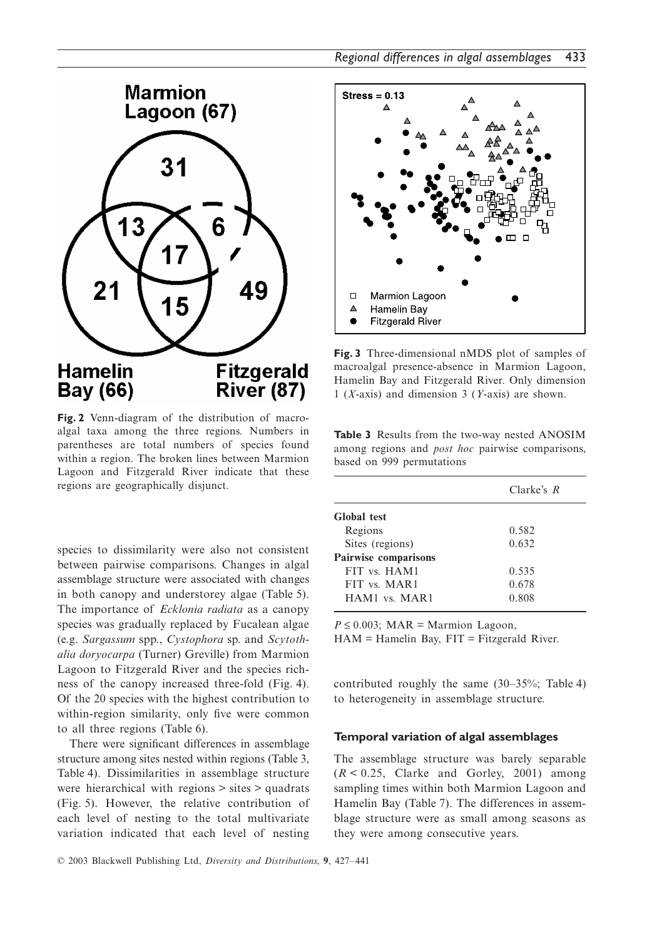

**Fig. 2** Venn-diagram of the distribution of macroalgal taxa among the three regions. Numbers in parentheses are total numbers of species found within a region. The broken lines between Marmion Lagoon and Fitzgerald River indicate that these regions are geographically disjunct.

species to dissimilarity were also not consistent between pairwise comparisons. Changes in algal assemblage structure were associated with changes in both canopy and understorey algae (Table 5). The importance of *Ecklonia radiata* as a canopy species was gradually replaced by Fucalean algae (e.g. *Sargassum* spp., *Cystophora* sp. and *Scytothalia doryocarpa* (Turner) Greville) from Marmion Lagoon to Fitzgerald River and the species richness of the canopy increased three-fold (Fig. 4). Of the 20 species with the highest contribution to within-region similarity, only five were common to all three regions (Table 6).

There were significant differences in assemblage structure among sites nested within regions (Table 3, Table 4). Dissimilarities in assemblage structure were hierarchical with regions > sites > quadrats (Fig. 5). However, the relative contribution of each level of nesting to the total multivariate variation indicated that each level of nesting



**Fig. 3** Three-dimensional nMDS plot of samples of macroalgal presence-absence in Marmion Lagoon, Hamelin Bay and Fitzgerald River. Only dimension 1 (*X*-axis) and dimension 3 (*Y*-axis) are shown.

**Table 3** Results from the two-way nested ANOSIM among regions and *post hoc* pairwise comparisons, based on 999 permutations

|                      | Clarke's R |
|----------------------|------------|
| <b>Global</b> test   |            |
| Regions              | 0.582      |
| Sites (regions)      | 0.632      |
| Pairwise comparisons |            |
| FIT vs. HAM1         | 0.535      |
| FIT vs. MAR1         | 0.678      |
| HAM1 vs. MAR1        | 0.808      |

 $P \le 0.003$ ; MAR = Marmion Lagoon,  $HAM = Hamelin Bay$ ,  $FIT = Fitzgerald River$ .

contributed roughly the same (30–35%; Table 4) to heterogeneity in assemblage structure.

#### **Temporal variation of algal assemblages**

The assemblage structure was barely separable  $(R < 0.25$ , Clarke and Gorley, 2001) among sampling times within both Marmion Lagoon and Hamelin Bay (Table 7). The differences in assemblage structure were as small among seasons as they were among consecutive years.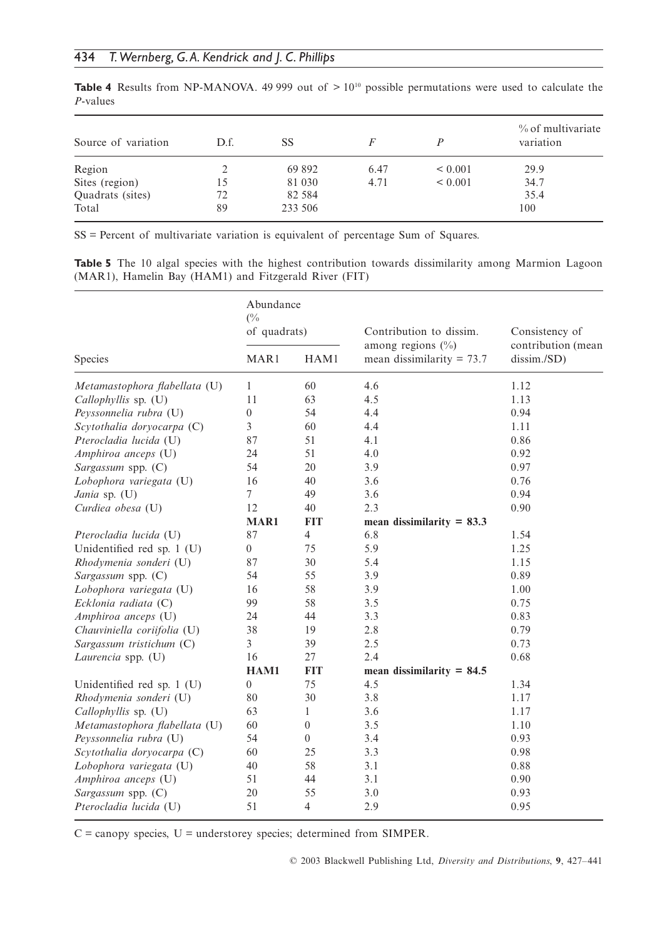| Source of variation | D.f. | SS      | F    |              | % of multivariate<br>variation |
|---------------------|------|---------|------|--------------|--------------------------------|
| Region              |      | 69 892  | 6.47 | ${}_{0.001}$ | 29.9                           |
| Sites (region)      | 15   | 81 030  | 4.71 | ${}_{0.001}$ | 34.7                           |
| Quadrats (sites)    | 72   | 82 5 84 |      |              | 35.4                           |
| Total               | 89   | 233 506 |      |              | 100                            |

**Table 4** Results from NP-MANOVA. 49 999 out of  $>10^{10}$  possible permutations were used to calculate the *P*-values

SS = Percent of multivariate variation is equivalent of percentage Sum of Squares.

**Table 5** The 10 algal species with the highest contribution towards dissimilarity among Marmion Lagoon (MAR1), Hamelin Bay (HAM1) and Fitzgerald River (FIT)

|                               | Abundance<br>$\frac{0}{6}$<br>of quadrats) |                  | Contribution to dissim.<br>among regions $(\%)$ | Consistency of                    |  |
|-------------------------------|--------------------------------------------|------------------|-------------------------------------------------|-----------------------------------|--|
| Species                       | MAR1                                       | HAM1             | mean dissimilarity = $73.7$                     | contribution (mean<br>dissim./SD) |  |
| Metamastophora flabellata (U) | $\mathbf{1}$                               | 60               | 4.6                                             | 1.12                              |  |
| Callophyllis sp. (U)          | 11                                         | 63               | 4.5                                             | 1.13                              |  |
| Peyssonnelia rubra (U)        | $\mathbf{0}$                               | 54               | 4.4                                             | 0.94                              |  |
| Scytothalia doryocarpa (C)    | 3                                          | 60               | 4.4                                             | 1.11                              |  |
| Pterocladia lucida (U)        | 87                                         | 51               | 4.1                                             | 0.86                              |  |
| Amphiroa anceps (U)           | 24                                         | 51               | 4.0                                             | 0.92                              |  |
| Sargassum spp. (C)            | 54                                         | 20               | 3.9                                             | 0.97                              |  |
| Lobophora variegata (U)       | 16                                         | 40               | 3.6                                             | 0.76                              |  |
| Jania sp. (U)                 | $\overline{7}$                             | 49               | 3.6                                             | 0.94                              |  |
| Curdiea obesa (U)             | 12                                         | 40               | 2.3                                             | 0.90                              |  |
|                               | MAR1                                       | <b>FIT</b>       | mean dissimilarity $= 83.3$                     |                                   |  |
| Pterocladia lucida (U)        | 87                                         | $\overline{4}$   | 6.8                                             | 1.54                              |  |
| Unidentified red sp. 1 (U)    | $\boldsymbol{0}$                           | 75               | 5.9                                             | 1.25                              |  |
| Rhodymenia sonderi (U)        | 87                                         | 30               | 5.4                                             | 1.15                              |  |
| Sargassum spp. (C)            | 54                                         | 55               | 3.9                                             | 0.89                              |  |
| Lobophora variegata (U)       | 16                                         | 58               | 3.9                                             | 1.00                              |  |
| Ecklonia radiata (C)          | 99                                         | 58               | 3.5                                             | 0.75                              |  |
| Amphiroa anceps (U)           | 24                                         | 44               | 3.3                                             | 0.83                              |  |
| Chauviniella coriifolia (U)   | 38                                         | 19               | 2.8                                             | 0.79                              |  |
| Sargassum tristichum (C)      | 3                                          | 39               | 2.5                                             | 0.73                              |  |
| Laurencia spp. (U)            | 16                                         | 27               | 2.4                                             | 0.68                              |  |
|                               | HAM1                                       | <b>FIT</b>       | mean dissimilarity $= 84.5$                     |                                   |  |
| Unidentified red sp. 1 (U)    | $\overline{0}$                             | 75               | 4.5                                             | 1.34                              |  |
| Rhodymenia sonderi (U)        | 80                                         | 30               | 3.8                                             | 1.17                              |  |
| Callophyllis sp. (U)          | 63                                         | $\mathbf{1}$     | 3.6                                             | 1.17                              |  |
| Metamastophora flabellata (U) | 60                                         | $\boldsymbol{0}$ | 3.5                                             | 1.10                              |  |
| Peyssonnelia rubra (U)        | 54                                         | $\overline{0}$   | 3.4                                             | 0.93                              |  |
| Scytothalia doryocarpa (C)    | 60                                         | 25               | 3.3                                             | 0.98                              |  |
| Lobophora variegata (U)       | 40                                         | 58               | 3.1                                             | 0.88                              |  |
| Amphiroa anceps (U)           | 51                                         | 44               | 3.1                                             | 0.90                              |  |
| Sargassum spp. (C)            | 20                                         | 55               | 3.0                                             | 0.93                              |  |
| Pterocladia lucida (U)        | 51                                         | $\overline{4}$   | 2.9                                             | 0.95                              |  |

C = canopy species, U = understorey species; determined from SIMPER.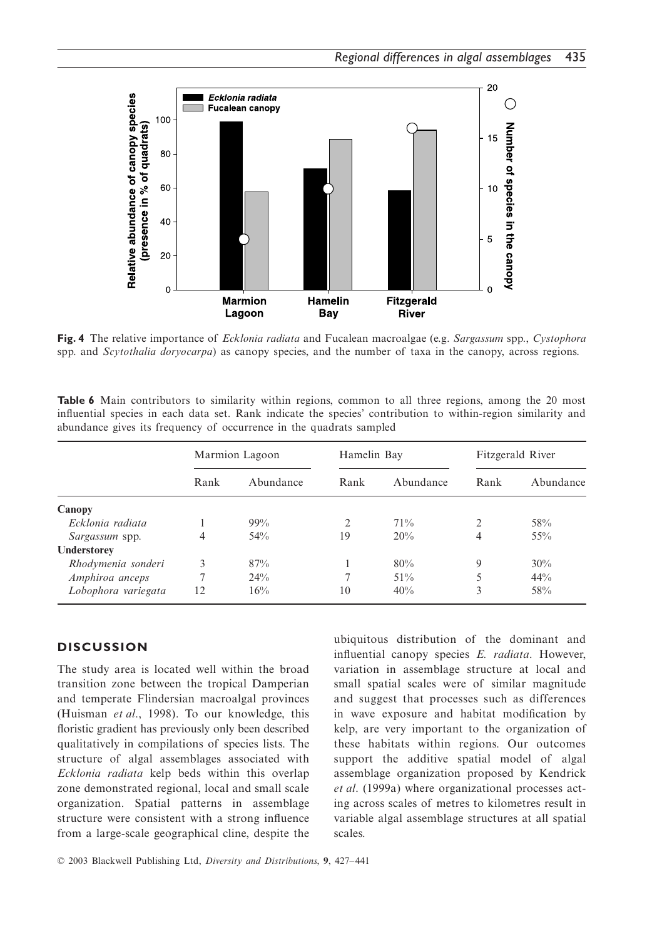

**Fig. 4** The relative importance of *Ecklonia radiata* and Fucalean macroalgae (e.g. *Sargassum* spp., *Cystophora* spp. and *Scytothalia doryocarpa*) as canopy species, and the number of taxa in the canopy, across regions.

**Table 6** Main contributors to similarity within regions, common to all three regions, among the 20 most influential species in each data set. Rank indicate the species' contribution to within-region similarity and abundance gives its frequency of occurrence in the quadrats sampled

|                     | Marmion Lagoon |           | Hamelin Bay |           | Fitzgerald River |           |
|---------------------|----------------|-----------|-------------|-----------|------------------|-----------|
|                     | Rank           | Abundance | Rank        | Abundance | Rank             | Abundance |
| Canopy              |                |           |             |           |                  |           |
| Ecklonia radiata    |                | $99\%$    | 2           | 71%       | $\mathfrak{D}$   | 58%       |
| Sargassum spp.      | 4              | 54%       | 19          | 20%       | 4                | 55%       |
| Understorey         |                |           |             |           |                  |           |
| Rhodymenia sonderi  | 3              | 87%       |             | 80%       | 9                | 30%       |
| Amphiroa anceps     | ⇁              | 24%       |             | 51%       | 5                | 44%       |
| Lobophora variegata | 12             | 16%       | 10          | 40%       | 3                | 58%       |

# **DISCUSSION**

The study area is located well within the broad transition zone between the tropical Damperian and temperate Flindersian macroalgal provinces (Huisman *et al*., 1998). To our knowledge, this floristic gradient has previously only been described qualitatively in compilations of species lists. The structure of algal assemblages associated with *Ecklonia radiata* kelp beds within this overlap zone demonstrated regional, local and small scale organization. Spatial patterns in assemblage structure were consistent with a strong influence from a large-scale geographical cline, despite the

ubiquitous distribution of the dominant and influential canopy species *E. radiata*. However, variation in assemblage structure at local and small spatial scales were of similar magnitude and suggest that processes such as differences in wave exposure and habitat modification by kelp, are very important to the organization of these habitats within regions. Our outcomes support the additive spatial model of algal assemblage organization proposed by Kendrick *et al*. (1999a) where organizational processes acting across scales of metres to kilometres result in variable algal assemblage structures at all spatial scales.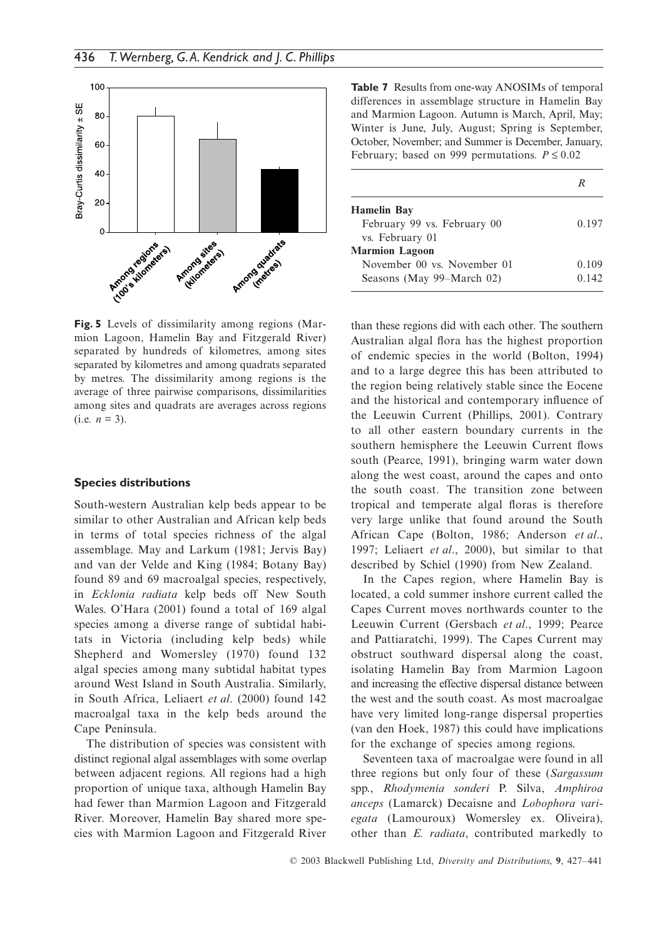

**Fig. 5** Levels of dissimilarity among regions (Marmion Lagoon, Hamelin Bay and Fitzgerald River) separated by hundreds of kilometres, among sites separated by kilometres and among quadrats separated by metres. The dissimilarity among regions is the average of three pairwise comparisons, dissimilarities among sites and quadrats are averages across regions  $(i.e. n = 3)$ .

#### **Species distributions**

South-western Australian kelp beds appear to be similar to other Australian and African kelp beds in terms of total species richness of the algal assemblage. May and Larkum (1981; Jervis Bay) and van der Velde and King (1984; Botany Bay) found 89 and 69 macroalgal species, respectively, in *Ecklonia radiata* kelp beds off New South Wales. O'Hara (2001) found a total of 169 algal species among a diverse range of subtidal habitats in Victoria (including kelp beds) while Shepherd and Womersley (1970) found 132 algal species among many subtidal habitat types around West Island in South Australia. Similarly, in South Africa, Leliaert *et al*. (2000) found 142 macroalgal taxa in the kelp beds around the Cape Peninsula.

The distribution of species was consistent with distinct regional algal assemblages with some overlap between adjacent regions. All regions had a high proportion of unique taxa, although Hamelin Bay had fewer than Marmion Lagoon and Fitzgerald River. Moreover, Hamelin Bay shared more species with Marmion Lagoon and Fitzgerald River

**Table 7** Results from one-way ANOSIMs of temporal differences in assemblage structure in Hamelin Bay and Marmion Lagoon. Autumn is March, April, May; Winter is June, July, August; Spring is September, October, November; and Summer is December, January, February; based on 999 permutations.  $P \le 0.02$ 

| <b>Hamelin Bay</b>          |       |
|-----------------------------|-------|
| February 99 vs. February 00 | 0.197 |
| vs. February 01             |       |
| <b>Marmion Lagoon</b>       |       |
| November 00 ys. November 01 | 0.109 |
| Seasons (May 99–March 02)   | 0.142 |

than these regions did with each other. The southern Australian algal flora has the highest proportion of endemic species in the world (Bolton, 1994) and to a large degree this has been attributed to the region being relatively stable since the Eocene and the historical and contemporary influence of the Leeuwin Current (Phillips, 2001). Contrary to all other eastern boundary currents in the southern hemisphere the Leeuwin Current flows south (Pearce, 1991), bringing warm water down along the west coast, around the capes and onto the south coast. The transition zone between tropical and temperate algal floras is therefore very large unlike that found around the South African Cape (Bolton, 1986; Anderson *et al*., 1997; Leliaert *et al*., 2000), but similar to that described by Schiel (1990) from New Zealand.

In the Capes region, where Hamelin Bay is located, a cold summer inshore current called the Capes Current moves northwards counter to the Leeuwin Current (Gersbach *et al*., 1999; Pearce and Pattiaratchi, 1999). The Capes Current may obstruct southward dispersal along the coast, isolating Hamelin Bay from Marmion Lagoon and increasing the effective dispersal distance between the west and the south coast. As most macroalgae have very limited long-range dispersal properties (van den Hoek, 1987) this could have implications for the exchange of species among regions.

Seventeen taxa of macroalgae were found in all three regions but only four of these (*Sargassum* spp., *Rhodymenia sonderi* P. Silva, *Amphiroa anceps* (Lamarck) Decaisne and *Lobophora variegata* (Lamouroux) Womersley ex. Oliveira), other than *E. radiata*, contributed markedly to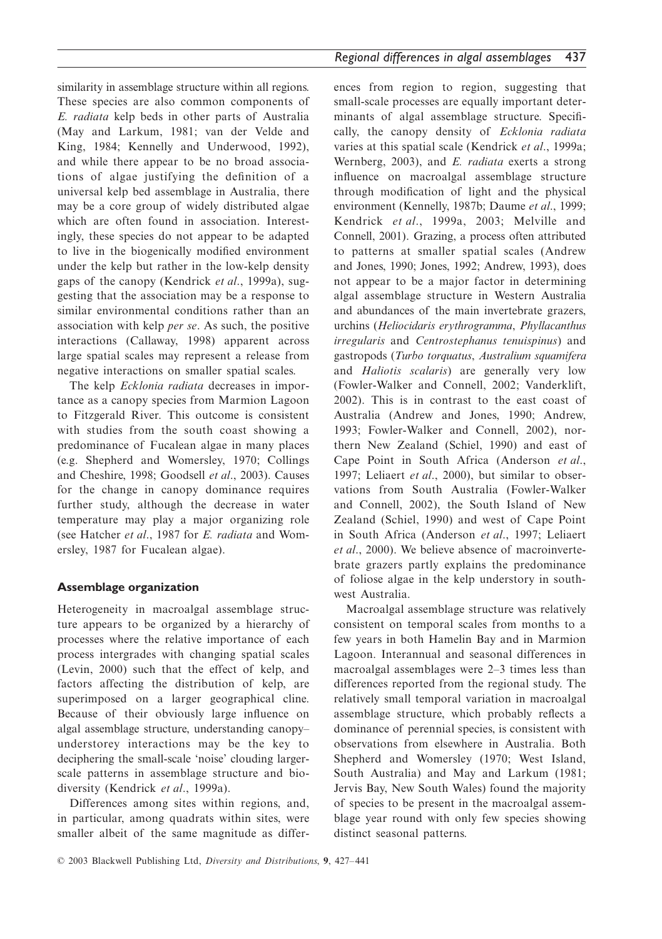similarity in assemblage structure within all regions. These species are also common components of *E. radiata* kelp beds in other parts of Australia (May and Larkum, 1981; van der Velde and King, 1984; Kennelly and Underwood, 1992), and while there appear to be no broad associations of algae justifying the definition of a universal kelp bed assemblage in Australia, there may be a core group of widely distributed algae which are often found in association. Interestingly, these species do not appear to be adapted to live in the biogenically modified environment under the kelp but rather in the low-kelp density gaps of the canopy (Kendrick *et al*., 1999a), suggesting that the association may be a response to similar environmental conditions rather than an association with kelp *per se*. As such, the positive interactions (Callaway, 1998) apparent across large spatial scales may represent a release from negative interactions on smaller spatial scales.

The kelp *Ecklonia radiata* decreases in importance as a canopy species from Marmion Lagoon to Fitzgerald River. This outcome is consistent with studies from the south coast showing a predominance of Fucalean algae in many places (e.g. Shepherd and Womersley, 1970; Collings and Cheshire, 1998; Goodsell *et al*., 2003). Causes for the change in canopy dominance requires further study, although the decrease in water temperature may play a major organizing role (see Hatcher *et al*., 1987 for *E. radiata* and Womersley, 1987 for Fucalean algae).

# **Assemblage organization**

Heterogeneity in macroalgal assemblage structure appears to be organized by a hierarchy of processes where the relative importance of each process intergrades with changing spatial scales (Levin, 2000) such that the effect of kelp, and factors affecting the distribution of kelp, are superimposed on a larger geographical cline. Because of their obviously large influence on algal assemblage structure, understanding canopy– understorey interactions may be the key to deciphering the small-scale 'noise' clouding largerscale patterns in assemblage structure and biodiversity (Kendrick *et al*., 1999a).

Differences among sites within regions, and, in particular, among quadrats within sites, were smaller albeit of the same magnitude as differences from region to region, suggesting that small-scale processes are equally important determinants of algal assemblage structure. Specifically, the canopy density of *Ecklonia radiata* varies at this spatial scale (Kendrick *et al*., 1999a; Wernberg, 2003), and *E. radiata* exerts a strong influence on macroalgal assemblage structure through modification of light and the physical environment (Kennelly, 1987b; Daume *et al*., 1999; Kendrick *et al*., 1999a, 2003; Melville and Connell, 2001). Grazing, a process often attributed to patterns at smaller spatial scales (Andrew and Jones, 1990; Jones, 1992; Andrew, 1993), does not appear to be a major factor in determining algal assemblage structure in Western Australia and abundances of the main invertebrate grazers, urchins (*Heliocidaris erythrogramma*, *Phyllacanthus irregularis* and *Centrostephanus tenuispinus*) and gastropods (*Turbo torquatus*, *Australium squamifera* and *Haliotis scalaris*) are generally very low (Fowler-Walker and Connell, 2002; Vanderklift, 2002). This is in contrast to the east coast of Australia (Andrew and Jones, 1990; Andrew, 1993; Fowler-Walker and Connell, 2002), northern New Zealand (Schiel, 1990) and east of Cape Point in South Africa (Anderson *et al*., 1997; Leliaert *et al*., 2000), but similar to observations from South Australia (Fowler-Walker and Connell, 2002), the South Island of New Zealand (Schiel, 1990) and west of Cape Point in South Africa (Anderson *et al*., 1997; Leliaert *et al*., 2000). We believe absence of macroinvertebrate grazers partly explains the predominance of foliose algae in the kelp understory in southwest Australia.

Macroalgal assemblage structure was relatively consistent on temporal scales from months to a few years in both Hamelin Bay and in Marmion Lagoon. Interannual and seasonal differences in macroalgal assemblages were 2–3 times less than differences reported from the regional study. The relatively small temporal variation in macroalgal assemblage structure, which probably reflects a dominance of perennial species, is consistent with observations from elsewhere in Australia. Both Shepherd and Womersley (1970; West Island, South Australia) and May and Larkum (1981; Jervis Bay, New South Wales) found the majority of species to be present in the macroalgal assemblage year round with only few species showing distinct seasonal patterns.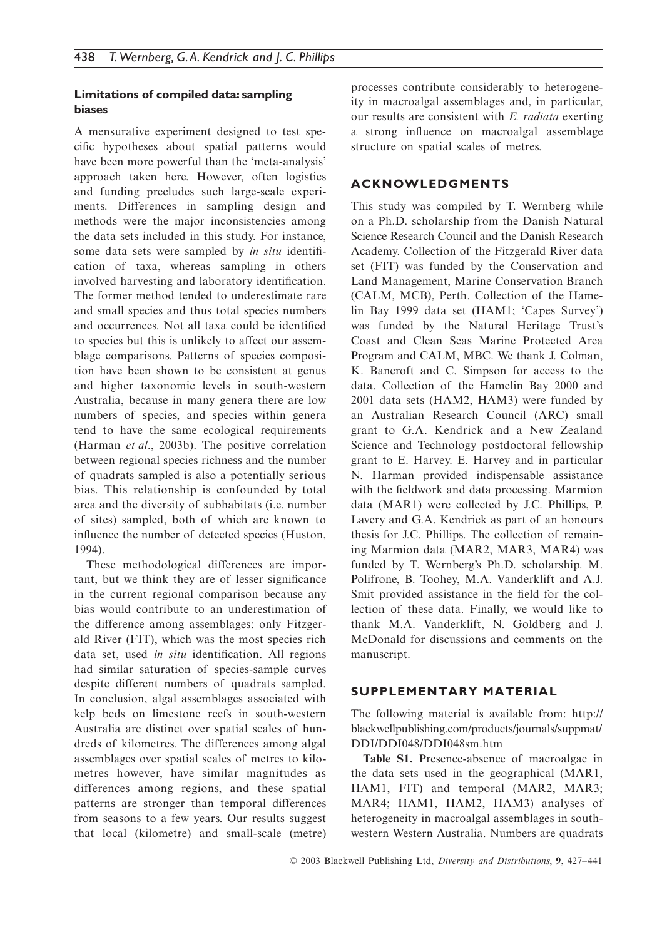# **Limitations of compiled data: sampling biases**

A mensurative experiment designed to test specific hypotheses about spatial patterns would have been more powerful than the 'meta-analysis' approach taken here. However, often logistics and funding precludes such large-scale experiments. Differences in sampling design and methods were the major inconsistencies among the data sets included in this study. For instance, some data sets were sampled by *in situ* identification of taxa, whereas sampling in others involved harvesting and laboratory identification. The former method tended to underestimate rare and small species and thus total species numbers and occurrences. Not all taxa could be identified to species but this is unlikely to affect our assemblage comparisons. Patterns of species composition have been shown to be consistent at genus and higher taxonomic levels in south-western Australia, because in many genera there are low numbers of species, and species within genera tend to have the same ecological requirements (Harman *et al*., 2003b). The positive correlation between regional species richness and the number of quadrats sampled is also a potentially serious bias. This relationship is confounded by total area and the diversity of subhabitats (i.e. number of sites) sampled, both of which are known to influence the number of detected species (Huston, 1994).

These methodological differences are important, but we think they are of lesser significance in the current regional comparison because any bias would contribute to an underestimation of the difference among assemblages: only Fitzgerald River (FIT), which was the most species rich data set, used *in situ* identification. All regions had similar saturation of species-sample curves despite different numbers of quadrats sampled. In conclusion, algal assemblages associated with kelp beds on limestone reefs in south-western Australia are distinct over spatial scales of hundreds of kilometres. The differences among algal assemblages over spatial scales of metres to kilometres however, have similar magnitudes as differences among regions, and these spatial patterns are stronger than temporal differences from seasons to a few years. Our results suggest that local (kilometre) and small-scale (metre)

processes contribute considerably to heterogeneity in macroalgal assemblages and, in particular, our results are consistent with *E. radiata* exerting a strong influence on macroalgal assemblage structure on spatial scales of metres.

# **ACKNOWLEDGMENTS**

This study was compiled by T. Wernberg while on a Ph.D. scholarship from the Danish Natural Science Research Council and the Danish Research Academy. Collection of the Fitzgerald River data set (FIT) was funded by the Conservation and Land Management, Marine Conservation Branch (CALM, MCB), Perth. Collection of the Hamelin Bay 1999 data set (HAM1; 'Capes Survey') was funded by the Natural Heritage Trust's Coast and Clean Seas Marine Protected Area Program and CALM, MBC. We thank J. Colman, K. Bancroft and C. Simpson for access to the data. Collection of the Hamelin Bay 2000 and 2001 data sets (HAM2, HAM3) were funded by an Australian Research Council (ARC) small grant to G.A. Kendrick and a New Zealand Science and Technology postdoctoral fellowship grant to E. Harvey. E. Harvey and in particular N. Harman provided indispensable assistance with the fieldwork and data processing. Marmion data (MAR1) were collected by J.C. Phillips, P. Lavery and G.A. Kendrick as part of an honours thesis for J.C. Phillips. The collection of remaining Marmion data (MAR2, MAR3, MAR4) was funded by T. Wernberg's Ph.D. scholarship. M. Polifrone, B. Toohey, M.A. Vanderklift and A.J. Smit provided assistance in the field for the collection of these data. Finally, we would like to thank M.A. Vanderklift, N. Goldberg and J. McDonald for discussions and comments on the manuscript.

# **SUPPLEMENTARY MATERIAL**

The following material is available from: <http://> blackwellpublishing.com/products/journals/suppmat/ DDI/DDI048/DDI048sm.htm

**Table S1.** Presence-absence of macroalgae in the data sets used in the geographical (MAR1, HAM1, FIT) and temporal (MAR2, MAR3; MAR4; HAM1, HAM2, HAM3) analyses of heterogeneity in macroalgal assemblages in southwestern Western Australia. Numbers are quadrats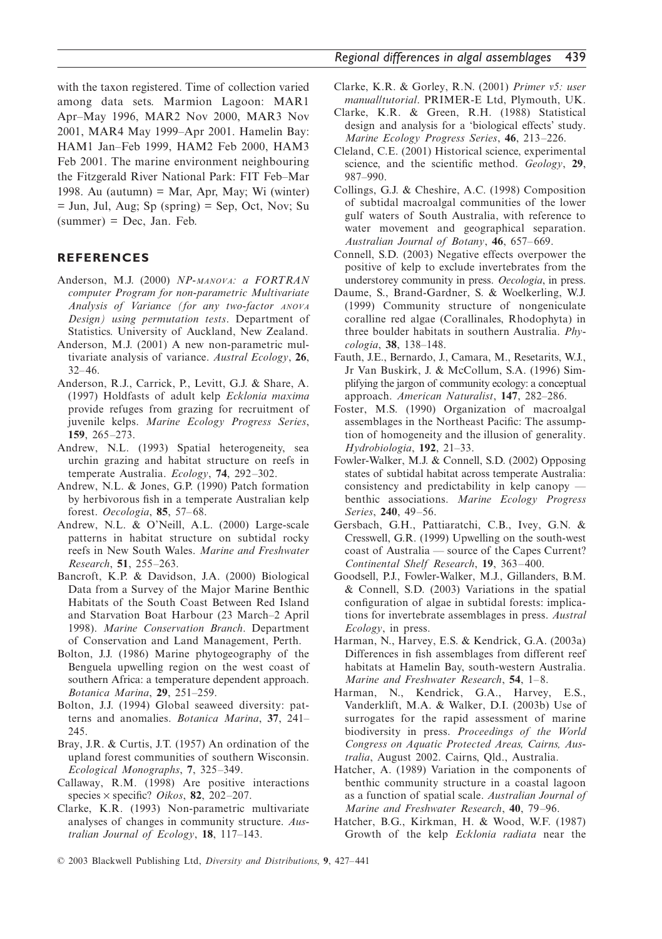with the taxon registered. Time of collection varied among data sets. Marmion Lagoon: MAR1 Apr–May 1996, MAR2 Nov 2000, MAR3 Nov 2001, MAR4 May 1999–Apr 2001. Hamelin Bay: HAM1 Jan–Feb 1999, HAM2 Feb 2000, HAM3 Feb 2001. The marine environment neighbouring the Fitzgerald River National Park: FIT Feb–Mar 1998. Au (autumn) = Mar, Apr, May; Wi (winter) = Jun, Jul, Aug; Sp (spring) = Sep, Oct, Nov; Su  $(summer) = Dec$ , Jan. Feb.

## **REFERENCES**

- Anderson, M.J. (2000) *NP-MANOVA: a FORTRAN computer Program for non-parametric Multivariate Analysis of Variance (for any two-factor ANOVA Design) using permutation tests*. Department of Statistics. University of Auckland, New Zealand.
- Anderson, M.J. (2001) A new non-parametric multivariate analysis of variance. *Austral Ecology*, **26**, 32–46.
- Anderson, R.J., Carrick, P., Levitt, G.J. & Share, A. (1997) Holdfasts of adult kelp *Ecklonia maxima* provide refuges from grazing for recruitment of juvenile kelps. *Marine Ecology Progress Series*, **159**, 265–273.
- Andrew, N.L. (1993) Spatial heterogeneity, sea urchin grazing and habitat structure on reefs in temperate Australia. *Ecology*, **74**, 292–302.
- Andrew, N.L. & Jones, G.P. (1990) Patch formation by herbivorous fish in a temperate Australian kelp forest. *Oecologia*, **85**, 57–68.
- Andrew, N.L. & O'Neill, A.L. (2000) Large-scale patterns in habitat structure on subtidal rocky reefs in New South Wales. *Marine and Freshwater Research*, **51**, 255–263.
- Bancroft, K.P. & Davidson, J.A. (2000) Biological Data from a Survey of the Major Marine Benthic Habitats of the South Coast Between Red Island and Starvation Boat Harbour (23 March–2 April 1998). *Marine Conservation Branch*. Department of Conservation and Land Management, Perth.
- Bolton, J.J. (1986) Marine phytogeography of the Benguela upwelling region on the west coast of southern Africa: a temperature dependent approach. *Botanica Marina*, **29**, 251–259.
- Bolton, J.J. (1994) Global seaweed diversity: patterns and anomalies. *Botanica Marina*, **37**, 241– 245.
- Bray, J.R. & Curtis, J.T. (1957) An ordination of the upland forest communities of southern Wisconsin. *Ecological Monographs*, **7**, 325–349.
- Callaway, R.M. (1998) Are positive interactions species × specific? *Oikos*, **82**, 202–207.
- Clarke, K.R. (1993) Non-parametric multivariate analyses of changes in community structure. *Australian Journal of Ecology*, **18**, 117–143.
- Clarke, K.R. & Gorley, R.N. (2001) *Primer v5: user manual/tutorial*. PRIMER-E Ltd, Plymouth, UK.
- Clarke, K.R. & Green, R.H. (1988) Statistical design and analysis for a 'biological effects' study. *Marine Ecology Progress Series*, **46**, 213–226.
- Cleland, C.E. (2001) Historical science, experimental science, and the scientific method. *Geology*, **29**, 987–990.
- Collings, G.J. & Cheshire, A.C. (1998) Composition of subtidal macroalgal communities of the lower gulf waters of South Australia, with reference to water movement and geographical separation. *Australian Journal of Botany*, **46**, 657–669.
- Connell, S.D. (2003) Negative effects overpower the positive of kelp to exclude invertebrates from the understorey community in press. *Oecologia*, in press.
- Daume, S., Brand-Gardner, S. & Woelkerling, W.J. (1999) Community structure of nongeniculate coralline red algae (Corallinales, Rhodophyta) in three boulder habitats in southern Australia. *Phycologia*, **38**, 138–148.
- Fauth, J.E., Bernardo, J., Camara, M., Resetarits, W.J., Jr Van Buskirk, J. & McCollum, S.A. (1996) Simplifying the jargon of community ecology: a conceptual approach. *American Naturalist*, **147**, 282–286.
- Foster, M.S. (1990) Organization of macroalgal assemblages in the Northeast Pacific: The assumption of homogeneity and the illusion of generality. *Hydrobiologia*, **192**, 21–33.
- Fowler-Walker, M.J. & Connell, S.D. (2002) Opposing states of subtidal habitat across temperate Australia: consistency and predictability in kelp canopy benthic associations. *Marine Ecology Progress Series*, **240**, 49–56.
- Gersbach, G.H., Pattiaratchi, C.B., Ivey, G.N. & Cresswell, G.R. (1999) Upwelling on the south-west coast of Australia — source of the Capes Current? *Continental Shelf Research*, **19**, 363–400.
- Goodsell, P.J., Fowler-Walker, M.J., Gillanders, B.M. & Connell, S.D. (2003) Variations in the spatial configuration of algae in subtidal forests: implications for invertebrate assemblages in press. *Austral Ecology*, in press.
- Harman, N., Harvey, E.S. & Kendrick, G.A. (2003a) Differences in fish assemblages from different reef habitats at Hamelin Bay, south-western Australia. *Marine and Freshwater Research*, **54**, 1–8.
- Harman, N., Kendrick, G.A., Harvey, E.S., Vanderklift, M.A. & Walker, D.I. (2003b) Use of surrogates for the rapid assessment of marine biodiversity in press. *Proceedings of the World Congress on Aquatic Protected Areas, Cairns, Australia*, August 2002. Cairns, Qld., Australia.
- Hatcher, A. (1989) Variation in the components of benthic community structure in a coastal lagoon as a function of spatial scale. *Australian Journal of Marine and Freshwater Research*, **40**, 79–96.
- Hatcher, B.G., Kirkman, H. & Wood, W.F. (1987) Growth of the kelp *Ecklonia radiata* near the
- © 2003 Blackwell Publishing Ltd, *Diversity and Distributions*, **9**, 427–441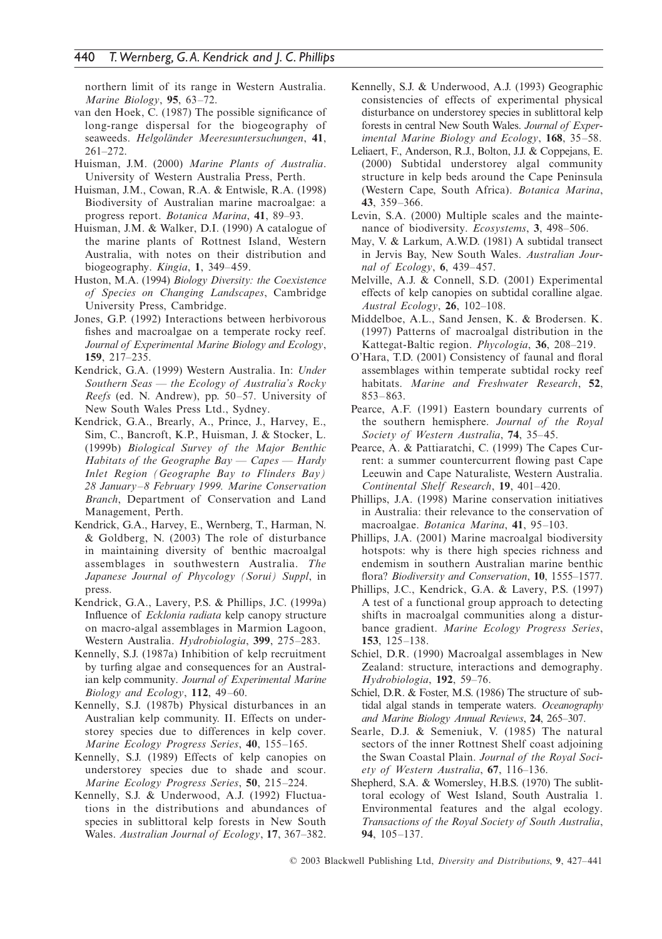northern limit of its range in Western Australia. *Marine Biology*, **95**, 63–72.

- van den Hoek, C. (1987) The possible significance of long-range dispersal for the biogeography of seaweeds. *Helgoländer Meeresuntersuchungen*, **41**, 261–272.
- Huisman, J.M. (2000) *Marine Plants of Australia*. University of Western Australia Press, Perth.
- Huisman, J.M., Cowan, R.A. & Entwisle, R.A. (1998) Biodiversity of Australian marine macroalgae: a progress report. *Botanica Marina*, **41**, 89–93.
- Huisman, J.M. & Walker, D.I. (1990) A catalogue of the marine plants of Rottnest Island, Western Australia, with notes on their distribution and biogeography. *Kingia*, **1**, 349–459.
- Huston, M.A. (1994) *Biology Diversity: the Coexistence of Species on Changing Landscapes*, Cambridge University Press, Cambridge.
- Jones, G.P. (1992) Interactions between herbivorous fishes and macroalgae on a temperate rocky reef. *Journal of Experimental Marine Biology and Ecology*, **159**, 217–235.
- Kendrick, G.A. (1999) Western Australia. In: *Under Southern Seas — the Ecology of Australia's Rocky Reefs* (ed. N. Andrew), pp. 50–57. University of New South Wales Press Ltd., Sydney.
- Kendrick, G.A., Brearly, A., Prince, J., Harvey, E., Sim, C., Bancroft, K.P., Huisman, J. & Stocker, L. (1999b) *Biological Survey of the Major Benthic Habitats of the Geographe Bay — Capes — Hardy Inlet Region (Geographe Bay to Flinders Bay) 28 January–8 February 1999. Marine Conservation Branch*, Department of Conservation and Land Management, Perth.
- Kendrick, G.A., Harvey, E., Wernberg, T., Harman, N. & Goldberg, N. (2003) The role of disturbance in maintaining diversity of benthic macroalgal assemblages in southwestern Australia. *The Japanese Journal of Phycology (Sorui) Suppl*, in press.
- Kendrick, G.A., Lavery, P.S. & Phillips, J.C. (1999a) Influence of *Ecklonia radiata* kelp canopy structure on macro-algal assemblages in Marmion Lagoon, Western Australia. *Hydrobiologia*, **399**, 275–283.
- Kennelly, S.J. (1987a) Inhibition of kelp recruitment by turfing algae and consequences for an Australian kelp community. *Journal of Experimental Marine Biology and Ecology*, **112**, 49–60.
- Kennelly, S.J. (1987b) Physical disturbances in an Australian kelp community. II. Effects on understorey species due to differences in kelp cover. *Marine Ecology Progress Series*, **40**, 155–165.
- Kennelly, S.J. (1989) Effects of kelp canopies on understorey species due to shade and scour. *Marine Ecology Progress Series*, **50**, 215–224.
- Kennelly, S.J. & Underwood, A.J. (1992) Fluctuations in the distributions and abundances of species in sublittoral kelp forests in New South Wales. *Australian Journal of Ecology*, **17**, 367–382.
- Kennelly, S.J. & Underwood, A.J. (1993) Geographic consistencies of effects of experimental physical disturbance on understorey species in sublittoral kelp forests in central New South Wales. *Journal of Experimental Marine Biology and Ecology*, **168**, 35–58.
- Leliaert, F., Anderson, R.J., Bolton, J.J. & Coppejans, E. (2000) Subtidal understorey algal community structure in kelp beds around the Cape Peninsula (Western Cape, South Africa). *Botanica Marina*, **43**, 359–366.
- Levin, S.A. (2000) Multiple scales and the maintenance of biodiversity. *Ecosystems*, **3**, 498–506.
- May, V. & Larkum, A.W.D. (1981) A subtidal transect in Jervis Bay, New South Wales. *Australian Journal of Ecology*, **6**, 439–457.
- Melville, A.J. & Connell, S.D. (2001) Experimental effects of kelp canopies on subtidal coralline algae. *Austral Ecology*, **26**, 102–108.
- Middelboe, A.L., Sand Jensen, K. & Brodersen. K. (1997) Patterns of macroalgal distribution in the Kattegat-Baltic region. *Phycologia*, **36**, 208–219.
- O'Hara, T.D. (2001) Consistency of faunal and floral assemblages within temperate subtidal rocky reef habitats. *Marine and Freshwater Research*, **52**, 853–863.
- Pearce, A.F. (1991) Eastern boundary currents of the southern hemisphere. *Journal of the Royal Society of Western Australia*, **74**, 35–45.
- Pearce, A. & Pattiaratchi, C. (1999) The Capes Current: a summer countercurrent flowing past Cape Leeuwin and Cape Naturaliste, Western Australia. *Continental Shelf Research*, **19**, 401–420.
- Phillips, J.A. (1998) Marine conservation initiatives in Australia: their relevance to the conservation of macroalgae. *Botanica Marina*, **41**, 95–103.
- Phillips, J.A. (2001) Marine macroalgal biodiversity hotspots: why is there high species richness and endemism in southern Australian marine benthic flora? *Biodiversity and Conservation*, **10**, 1555–1577.
- Phillips, J.C., Kendrick, G.A. & Lavery, P.S. (1997) A test of a functional group approach to detecting shifts in macroalgal communities along a disturbance gradient. *Marine Ecology Progress Series*, **153**, 125–138.
- Schiel, D.R. (1990) Macroalgal assemblages in New Zealand: structure, interactions and demography. *Hydrobiologia*, **192**, 59–76.
- Schiel, D.R. & Foster, M.S. (1986) The structure of subtidal algal stands in temperate waters. *Oceanography and Marine Biology Annual Reviews*, **24**, 265–307.
- Searle, D.J. & Semeniuk, V. (1985) The natural sectors of the inner Rottnest Shelf coast adjoining the Swan Coastal Plain. *Journal of the Royal Society of Western Australia*, **67**, 116–136.
- Shepherd, S.A. & Womersley, H.B.S. (1970) The sublittoral ecology of West Island, South Australia 1. Environmental features and the algal ecology. *Transactions of the Royal Society of South Australia*, **94**, 105–137.